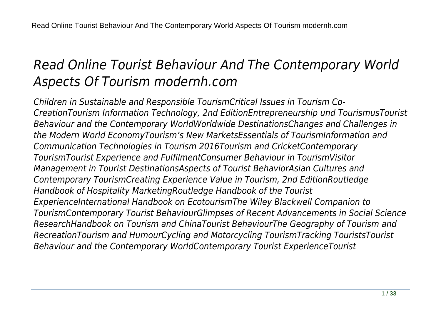# *Read Online Tourist Behaviour And The Contemporary World Aspects Of Tourism modernh.com*

*Children in Sustainable and Responsible TourismCritical Issues in Tourism Co-CreationTourism Information Technology, 2nd EditionEntrepreneurship und TourismusTourist Behaviour and the Contemporary WorldWorldwide DestinationsChanges and Challenges in the Modern World EconomyTourism's New MarketsEssentials of TourismInformation and Communication Technologies in Tourism 2016Tourism and CricketContemporary TourismTourist Experience and FulfilmentConsumer Behaviour in TourismVisitor Management in Tourist DestinationsAspects of Tourist BehaviorAsian Cultures and Contemporary TourismCreating Experience Value in Tourism, 2nd EditionRoutledge Handbook of Hospitality MarketingRoutledge Handbook of the Tourist ExperienceInternational Handbook on EcotourismThe Wiley Blackwell Companion to TourismContemporary Tourist BehaviourGlimpses of Recent Advancements in Social Science ResearchHandbook on Tourism and ChinaTourist BehaviourThe Geography of Tourism and RecreationTourism and HumourCycling and Motorcycling TourismTracking TouristsTourist Behaviour and the Contemporary WorldContemporary Tourist ExperienceTourist*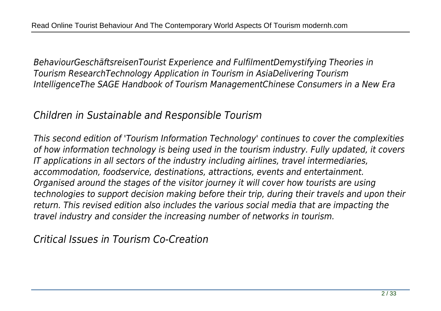*BehaviourGeschäftsreisenTourist Experience and FulfilmentDemystifying Theories in Tourism ResearchTechnology Application in Tourism in AsiaDelivering Tourism IntelligenceThe SAGE Handbook of Tourism ManagementChinese Consumers in a New Era*

#### *Children in Sustainable and Responsible Tourism*

*This second edition of 'Tourism Information Technology' continues to cover the complexities of how information technology is being used in the tourism industry. Fully updated, it covers IT applications in all sectors of the industry including airlines, travel intermediaries, accommodation, foodservice, destinations, attractions, events and entertainment. Organised around the stages of the visitor journey it will cover how tourists are using technologies to support decision making before their trip, during their travels and upon their return. This revised edition also includes the various social media that are impacting the travel industry and consider the increasing number of networks in tourism.*

*Critical Issues in Tourism Co-Creation*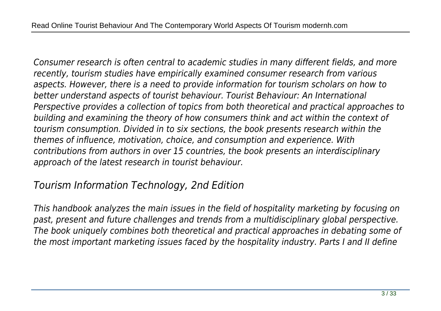*Consumer research is often central to academic studies in many different fields, and more recently, tourism studies have empirically examined consumer research from various aspects. However, there is a need to provide information for tourism scholars on how to better understand aspects of tourist behaviour. Tourist Behaviour: An International Perspective provides a collection of topics from both theoretical and practical approaches to building and examining the theory of how consumers think and act within the context of tourism consumption. Divided in to six sections, the book presents research within the themes of influence, motivation, choice, and consumption and experience. With contributions from authors in over 15 countries, the book presents an interdisciplinary approach of the latest research in tourist behaviour.*

# *Tourism Information Technology, 2nd Edition*

*This handbook analyzes the main issues in the field of hospitality marketing by focusing on past, present and future challenges and trends from a multidisciplinary global perspective. The book uniquely combines both theoretical and practical approaches in debating some of the most important marketing issues faced by the hospitality industry. Parts I and II define*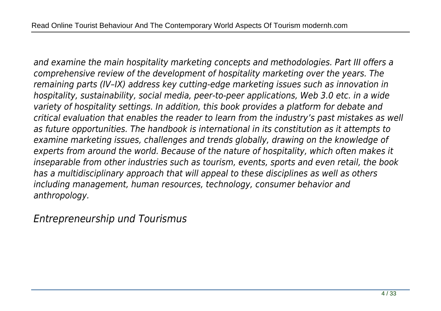*and examine the main hospitality marketing concepts and methodologies. Part III offers a comprehensive review of the development of hospitality marketing over the years. The remaining parts (IV–IX) address key cutting-edge marketing issues such as innovation in hospitality, sustainability, social media, peer-to-peer applications, Web 3.0 etc. in a wide variety of hospitality settings. In addition, this book provides a platform for debate and critical evaluation that enables the reader to learn from the industry's past mistakes as well as future opportunities. The handbook is international in its constitution as it attempts to examine marketing issues, challenges and trends globally, drawing on the knowledge of experts from around the world. Because of the nature of hospitality, which often makes it inseparable from other industries such as tourism, events, sports and even retail, the book has a multidisciplinary approach that will appeal to these disciplines as well as others including management, human resources, technology, consumer behavior and anthropology.*

*Entrepreneurship und Tourismus*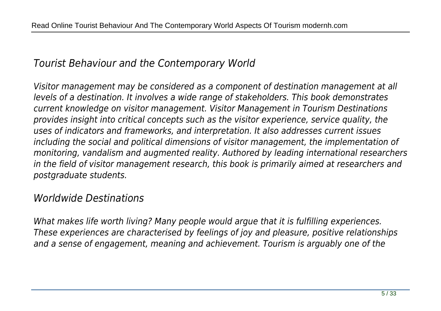# *Tourist Behaviour and the Contemporary World*

*Visitor management may be considered as a component of destination management at all levels of a destination. It involves a wide range of stakeholders. This book demonstrates current knowledge on visitor management. Visitor Management in Tourism Destinations provides insight into critical concepts such as the visitor experience, service quality, the uses of indicators and frameworks, and interpretation. It also addresses current issues including the social and political dimensions of visitor management, the implementation of monitoring, vandalism and augmented reality. Authored by leading international researchers in the field of visitor management research, this book is primarily aimed at researchers and postgraduate students.*

# *Worldwide Destinations*

*What makes life worth living? Many people would argue that it is fulfilling experiences. These experiences are characterised by feelings of joy and pleasure, positive relationships and a sense of engagement, meaning and achievement. Tourism is arguably one of the*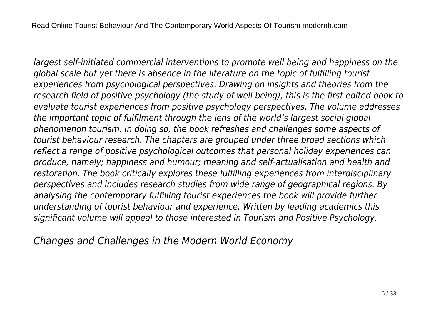*largest self-initiated commercial interventions to promote well being and happiness on the global scale but yet there is absence in the literature on the topic of fulfilling tourist experiences from psychological perspectives. Drawing on insights and theories from the research field of positive psychology (the study of well being), this is the first edited book to evaluate tourist experiences from positive psychology perspectives. The volume addresses the important topic of fulfilment through the lens of the world's largest social global phenomenon tourism. In doing so, the book refreshes and challenges some aspects of tourist behaviour research. The chapters are grouped under three broad sections which reflect a range of positive psychological outcomes that personal holiday experiences can produce, namely; happiness and humour; meaning and self-actualisation and health and restoration. The book critically explores these fulfilling experiences from interdisciplinary perspectives and includes research studies from wide range of geographical regions. By analysing the contemporary fulfilling tourist experiences the book will provide further understanding of tourist behaviour and experience. Written by leading academics this significant volume will appeal to those interested in Tourism and Positive Psychology.*

*Changes and Challenges in the Modern World Economy*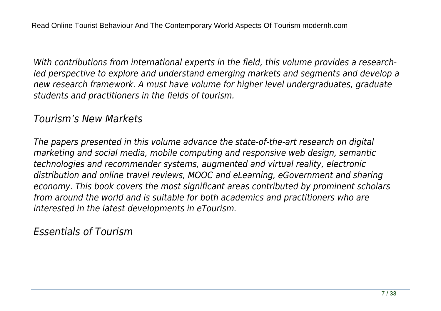*With contributions from international experts in the field, this volume provides a researchled perspective to explore and understand emerging markets and segments and develop a new research framework. A must have volume for higher level undergraduates, graduate students and practitioners in the fields of tourism.*

#### *Tourism's New Markets*

*The papers presented in this volume advance the state-of-the-art research on digital marketing and social media, mobile computing and responsive web design, semantic technologies and recommender systems, augmented and virtual reality, electronic distribution and online travel reviews, MOOC and eLearning, eGovernment and sharing economy. This book covers the most significant areas contributed by prominent scholars from around the world and is suitable for both academics and practitioners who are interested in the latest developments in eTourism.*

*Essentials of Tourism*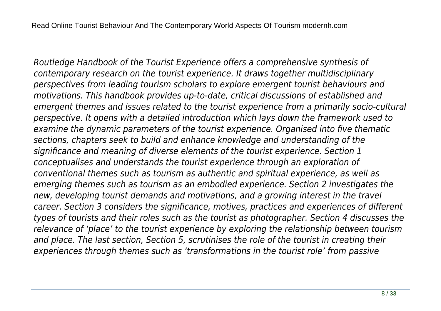*Routledge Handbook of the Tourist Experience offers a comprehensive synthesis of contemporary research on the tourist experience. It draws together multidisciplinary perspectives from leading tourism scholars to explore emergent tourist behaviours and motivations. This handbook provides up-to-date, critical discussions of established and emergent themes and issues related to the tourist experience from a primarily socio-cultural perspective. It opens with a detailed introduction which lays down the framework used to examine the dynamic parameters of the tourist experience. Organised into five thematic sections, chapters seek to build and enhance knowledge and understanding of the significance and meaning of diverse elements of the tourist experience. Section 1 conceptualises and understands the tourist experience through an exploration of conventional themes such as tourism as authentic and spiritual experience, as well as emerging themes such as tourism as an embodied experience. Section 2 investigates the new, developing tourist demands and motivations, and a growing interest in the travel career. Section 3 considers the significance, motives, practices and experiences of different types of tourists and their roles such as the tourist as photographer. Section 4 discusses the relevance of 'place' to the tourist experience by exploring the relationship between tourism and place. The last section, Section 5, scrutinises the role of the tourist in creating their experiences through themes such as 'transformations in the tourist role' from passive*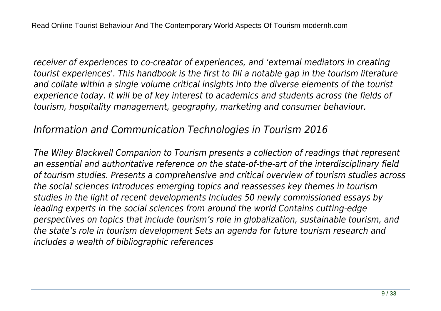*receiver of experiences to co-creator of experiences, and 'external mediators in creating tourist experiences'. This handbook is the first to fill a notable gap in the tourism literature and collate within a single volume critical insights into the diverse elements of the tourist experience today. It will be of key interest to academics and students across the fields of tourism, hospitality management, geography, marketing and consumer behaviour.*

# *Information and Communication Technologies in Tourism 2016*

*The Wiley Blackwell Companion to Tourism presents a collection of readings that represent an essential and authoritative reference on the state-of-the-art of the interdisciplinary field of tourism studies. Presents a comprehensive and critical overview of tourism studies across the social sciences Introduces emerging topics and reassesses key themes in tourism studies in the light of recent developments Includes 50 newly commissioned essays by leading experts in the social sciences from around the world Contains cutting-edge perspectives on topics that include tourism's role in globalization, sustainable tourism, and the state's role in tourism development Sets an agenda for future tourism research and includes a wealth of bibliographic references*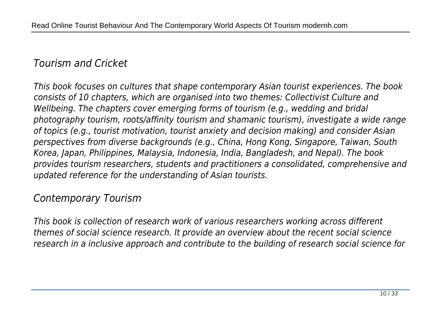# *Tourism and Cricket*

*This book focuses on cultures that shape contemporary Asian tourist experiences. The book consists of 10 chapters, which are organised into two themes: Collectivist Culture and Wellbeing. The chapters cover emerging forms of tourism (e.g., wedding and bridal photography tourism, roots/affinity tourism and shamanic tourism), investigate a wide range of topics (e.g., tourist motivation, tourist anxiety and decision making) and consider Asian perspectives from diverse backgrounds (e.g., China, Hong Kong, Singapore, Taiwan, South Korea, Japan, Philippines, Malaysia, Indonesia, India, Bangladesh, and Nepal). The book provides tourism researchers, students and practitioners a consolidated, comprehensive and updated reference for the understanding of Asian tourists.*

# *Contemporary Tourism*

*This book is collection of research work of various researchers working across different themes of social science research. It provide an overview about the recent social science research in a inclusive approach and contribute to the building of research social science for*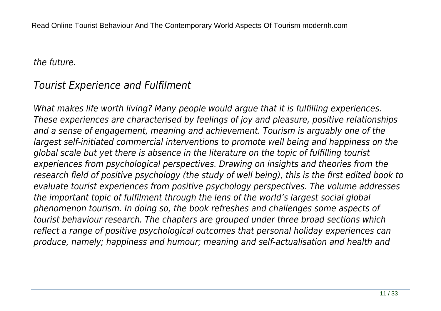*the future.*

# *Tourist Experience and Fulfilment*

*What makes life worth living? Many people would argue that it is fulfilling experiences. These experiences are characterised by feelings of joy and pleasure, positive relationships and a sense of engagement, meaning and achievement. Tourism is arguably one of the largest self-initiated commercial interventions to promote well being and happiness on the global scale but yet there is absence in the literature on the topic of fulfilling tourist experiences from psychological perspectives. Drawing on insights and theories from the research field of positive psychology (the study of well being), this is the first edited book to evaluate tourist experiences from positive psychology perspectives. The volume addresses the important topic of fulfilment through the lens of the world's largest social global phenomenon tourism. In doing so, the book refreshes and challenges some aspects of tourist behaviour research. The chapters are grouped under three broad sections which reflect a range of positive psychological outcomes that personal holiday experiences can produce, namely; happiness and humour; meaning and self-actualisation and health and*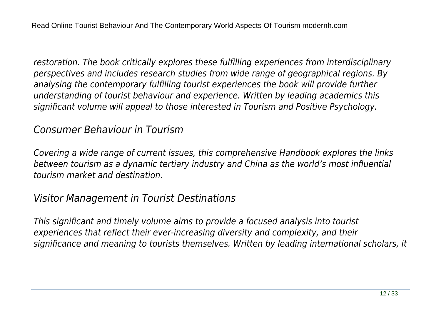*restoration. The book critically explores these fulfilling experiences from interdisciplinary perspectives and includes research studies from wide range of geographical regions. By analysing the contemporary fulfilling tourist experiences the book will provide further understanding of tourist behaviour and experience. Written by leading academics this significant volume will appeal to those interested in Tourism and Positive Psychology.*

# *Consumer Behaviour in Tourism*

*Covering a wide range of current issues, this comprehensive Handbook explores the links between tourism as a dynamic tertiary industry and China as the world's most influential tourism market and destination.*

# *Visitor Management in Tourist Destinations*

*This significant and timely volume aims to provide a focused analysis into tourist experiences that reflect their ever-increasing diversity and complexity, and their significance and meaning to tourists themselves. Written by leading international scholars, it*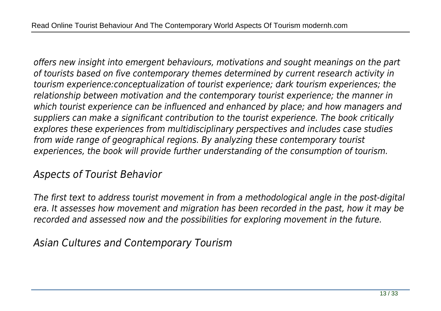*offers new insight into emergent behaviours, motivations and sought meanings on the part of tourists based on five contemporary themes determined by current research activity in tourism experience:conceptualization of tourist experience; dark tourism experiences; the relationship between motivation and the contemporary tourist experience; the manner in which tourist experience can be influenced and enhanced by place; and how managers and suppliers can make a significant contribution to the tourist experience. The book critically explores these experiences from multidisciplinary perspectives and includes case studies from wide range of geographical regions. By analyzing these contemporary tourist experiences, the book will provide further understanding of the consumption of tourism.*

# *Aspects of Tourist Behavior*

*The first text to address tourist movement in from a methodological angle in the post-digital era. It assesses how movement and migration has been recorded in the past, how it may be recorded and assessed now and the possibilities for exploring movement in the future.*

*Asian Cultures and Contemporary Tourism*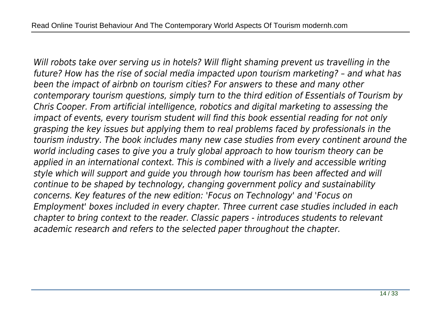*Will robots take over serving us in hotels? Will flight shaming prevent us travelling in the future? How has the rise of social media impacted upon tourism marketing? – and what has been the impact of airbnb on tourism cities? For answers to these and many other contemporary tourism questions, simply turn to the third edition of Essentials of Tourism by Chris Cooper. From artificial intelligence, robotics and digital marketing to assessing the impact of events, every tourism student will find this book essential reading for not only grasping the key issues but applying them to real problems faced by professionals in the tourism industry. The book includes many new case studies from every continent around the world including cases to give you a truly global approach to how tourism theory can be applied in an international context. This is combined with a lively and accessible writing style which will support and guide you through how tourism has been affected and will continue to be shaped by technology, changing government policy and sustainability concerns. Key features of the new edition: 'Focus on Technology' and 'Focus on Employment' boxes included in every chapter. Three current case studies included in each chapter to bring context to the reader. Classic papers - introduces students to relevant academic research and refers to the selected paper throughout the chapter.*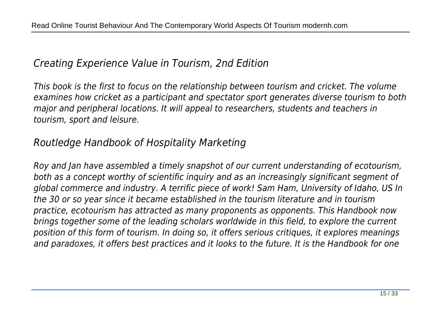# *Creating Experience Value in Tourism, 2nd Edition*

*This book is the first to focus on the relationship between tourism and cricket. The volume examines how cricket as a participant and spectator sport generates diverse tourism to both major and peripheral locations. It will appeal to researchers, students and teachers in tourism, sport and leisure.*

# *Routledge Handbook of Hospitality Marketing*

*Roy and Jan have assembled a timely snapshot of our current understanding of ecotourism, both as a concept worthy of scientific inquiry and as an increasingly significant segment of global commerce and industry. A terrific piece of work! Sam Ham, University of Idaho, US In the 30 or so year since it became established in the tourism literature and in tourism practice, ecotourism has attracted as many proponents as opponents. This Handbook now brings together some of the leading scholars worldwide in this field, to explore the current position of this form of tourism. In doing so, it offers serious critiques, it explores meanings and paradoxes, it offers best practices and it looks to the future. It is the Handbook for one*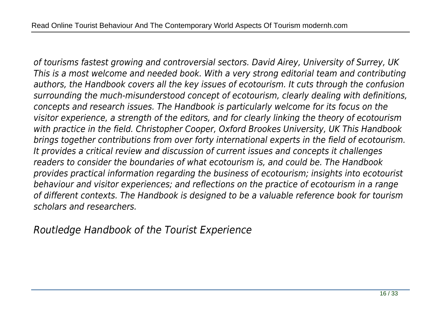*of tourisms fastest growing and controversial sectors. David Airey, University of Surrey, UK This is a most welcome and needed book. With a very strong editorial team and contributing authors, the Handbook covers all the key issues of ecotourism. It cuts through the confusion surrounding the much-misunderstood concept of ecotourism, clearly dealing with definitions, concepts and research issues. The Handbook is particularly welcome for its focus on the visitor experience, a strength of the editors, and for clearly linking the theory of ecotourism with practice in the field. Christopher Cooper, Oxford Brookes University, UK This Handbook brings together contributions from over forty international experts in the field of ecotourism. It provides a critical review and discussion of current issues and concepts it challenges readers to consider the boundaries of what ecotourism is, and could be. The Handbook provides practical information regarding the business of ecotourism; insights into ecotourist behaviour and visitor experiences; and reflections on the practice of ecotourism in a range of different contexts. The Handbook is designed to be a valuable reference book for tourism scholars and researchers.*

*Routledge Handbook of the Tourist Experience*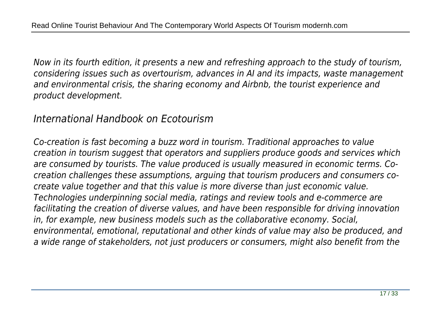*Now in its fourth edition, it presents a new and refreshing approach to the study of tourism, considering issues such as overtourism, advances in AI and its impacts, waste management and environmental crisis, the sharing economy and Airbnb, the tourist experience and product development.*

#### *International Handbook on Ecotourism*

*Co-creation is fast becoming a buzz word in tourism. Traditional approaches to value creation in tourism suggest that operators and suppliers produce goods and services which are consumed by tourists. The value produced is usually measured in economic terms. Cocreation challenges these assumptions, arguing that tourism producers and consumers cocreate value together and that this value is more diverse than just economic value. Technologies underpinning social media, ratings and review tools and e-commerce are facilitating the creation of diverse values, and have been responsible for driving innovation in, for example, new business models such as the collaborative economy. Social, environmental, emotional, reputational and other kinds of value may also be produced, and a wide range of stakeholders, not just producers or consumers, might also benefit from the*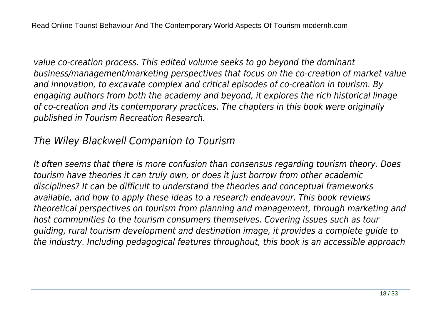*value co-creation process. This edited volume seeks to go beyond the dominant business/management/marketing perspectives that focus on the co-creation of market value and innovation, to excavate complex and critical episodes of co-creation in tourism. By engaging authors from both the academy and beyond, it explores the rich historical linage of co-creation and its contemporary practices. The chapters in this book were originally published in Tourism Recreation Research.*

# *The Wiley Blackwell Companion to Tourism*

*It often seems that there is more confusion than consensus regarding tourism theory. Does tourism have theories it can truly own, or does it just borrow from other academic disciplines? It can be difficult to understand the theories and conceptual frameworks available, and how to apply these ideas to a research endeavour. This book reviews theoretical perspectives on tourism from planning and management, through marketing and host communities to the tourism consumers themselves. Covering issues such as tour guiding, rural tourism development and destination image, it provides a complete guide to the industry. Including pedagogical features throughout, this book is an accessible approach*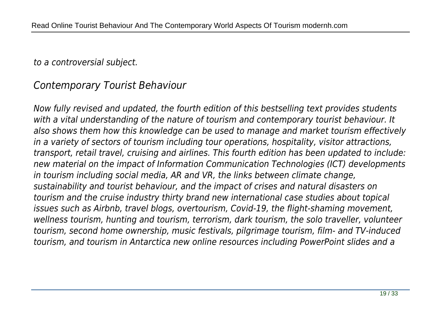#### *to a controversial subject.*

# *Contemporary Tourist Behaviour*

*Now fully revised and updated, the fourth edition of this bestselling text provides students with a vital understanding of the nature of tourism and contemporary tourist behaviour. It also shows them how this knowledge can be used to manage and market tourism effectively in a variety of sectors of tourism including tour operations, hospitality, visitor attractions, transport, retail travel, cruising and airlines. This fourth edition has been updated to include: new material on the impact of Information Communication Technologies (ICT) developments in tourism including social media, AR and VR, the links between climate change, sustainability and tourist behaviour, and the impact of crises and natural disasters on tourism and the cruise industry thirty brand new international case studies about topical issues such as Airbnb, travel blogs, overtourism, Covid-19, the flight-shaming movement, wellness tourism, hunting and tourism, terrorism, dark tourism, the solo traveller, volunteer tourism, second home ownership, music festivals, pilgrimage tourism, film- and TV-induced tourism, and tourism in Antarctica new online resources including PowerPoint slides and a*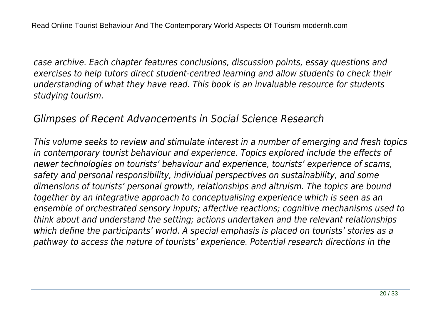*case archive. Each chapter features conclusions, discussion points, essay questions and exercises to help tutors direct student-centred learning and allow students to check their understanding of what they have read. This book is an invaluable resource for students studying tourism.*

#### *Glimpses of Recent Advancements in Social Science Research*

*This volume seeks to review and stimulate interest in a number of emerging and fresh topics in contemporary tourist behaviour and experience. Topics explored include the effects of newer technologies on tourists' behaviour and experience, tourists' experience of scams, safety and personal responsibility, individual perspectives on sustainability, and some dimensions of tourists' personal growth, relationships and altruism. The topics are bound together by an integrative approach to conceptualising experience which is seen as an ensemble of orchestrated sensory inputs; affective reactions; cognitive mechanisms used to think about and understand the setting; actions undertaken and the relevant relationships which define the participants' world. A special emphasis is placed on tourists' stories as a pathway to access the nature of tourists' experience. Potential research directions in the*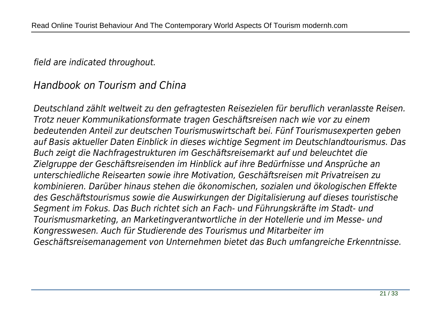#### *field are indicated throughout.*

# *Handbook on Tourism and China*

*Deutschland zählt weltweit zu den gefragtesten Reisezielen für beruflich veranlasste Reisen. Trotz neuer Kommunikationsformate tragen Geschäftsreisen nach wie vor zu einem bedeutenden Anteil zur deutschen Tourismuswirtschaft bei. Fünf Tourismusexperten geben auf Basis aktueller Daten Einblick in dieses wichtige Segment im Deutschlandtourismus. Das Buch zeigt die Nachfragestrukturen im Geschäftsreisemarkt auf und beleuchtet die Zielgruppe der Geschäftsreisenden im Hinblick auf ihre Bedürfnisse und Ansprüche an unterschiedliche Reisearten sowie ihre Motivation, Geschäftsreisen mit Privatreisen zu kombinieren. Darüber hinaus stehen die ökonomischen, sozialen und ökologischen Effekte des Geschäftstourismus sowie die Auswirkungen der Digitalisierung auf dieses touristische Segment im Fokus. Das Buch richtet sich an Fach- und Führungskräfte im Stadt- und Tourismusmarketing, an Marketingverantwortliche in der Hotellerie und im Messe- und Kongresswesen. Auch für Studierende des Tourismus und Mitarbeiter im Geschäftsreisemanagement von Unternehmen bietet das Buch umfangreiche Erkenntnisse.*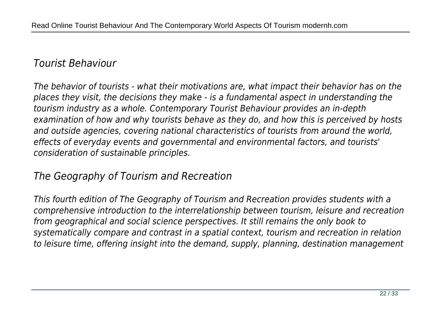# *Tourist Behaviour*

*The behavior of tourists - what their motivations are, what impact their behavior has on the places they visit, the decisions they make - is a fundamental aspect in understanding the tourism industry as a whole. Contemporary Tourist Behaviour provides an in-depth examination of how and why tourists behave as they do, and how this is perceived by hosts and outside agencies, covering national characteristics of tourists from around the world, effects of everyday events and governmental and environmental factors, and tourists' consideration of sustainable principles.*

# *The Geography of Tourism and Recreation*

*This fourth edition of The Geography of Tourism and Recreation provides students with a comprehensive introduction to the interrelationship between tourism, leisure and recreation from geographical and social science perspectives. It still remains the only book to systematically compare and contrast in a spatial context, tourism and recreation in relation to leisure time, offering insight into the demand, supply, planning, destination management*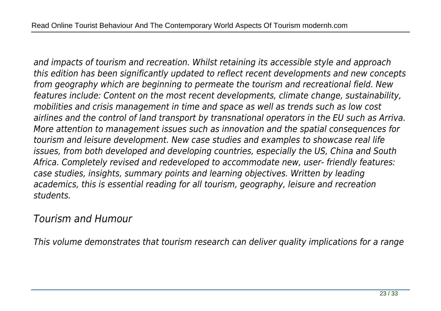*and impacts of tourism and recreation. Whilst retaining its accessible style and approach this edition has been significantly updated to reflect recent developments and new concepts from geography which are beginning to permeate the tourism and recreational field. New features include: Content on the most recent developments, climate change, sustainability, mobilities and crisis management in time and space as well as trends such as low cost airlines and the control of land transport by transnational operators in the EU such as Arriva. More attention to management issues such as innovation and the spatial consequences for tourism and leisure development. New case studies and examples to showcase real life issues, from both developed and developing countries, especially the US, China and South Africa. Completely revised and redeveloped to accommodate new, user- friendly features: case studies, insights, summary points and learning objectives. Written by leading academics, this is essential reading for all tourism, geography, leisure and recreation students.*

#### *Tourism and Humour*

*This volume demonstrates that tourism research can deliver quality implications for a range*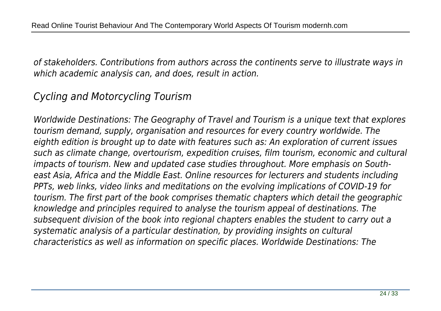*of stakeholders. Contributions from authors across the continents serve to illustrate ways in which academic analysis can, and does, result in action.*

# *Cycling and Motorcycling Tourism*

*Worldwide Destinations: The Geography of Travel and Tourism is a unique text that explores tourism demand, supply, organisation and resources for every country worldwide. The eighth edition is brought up to date with features such as: An exploration of current issues such as climate change, overtourism, expedition cruises, film tourism, economic and cultural impacts of tourism. New and updated case studies throughout. More emphasis on Southeast Asia, Africa and the Middle East. Online resources for lecturers and students including PPTs, web links, video links and meditations on the evolving implications of COVID-19 for tourism. The first part of the book comprises thematic chapters which detail the geographic knowledge and principles required to analyse the tourism appeal of destinations. The subsequent division of the book into regional chapters enables the student to carry out a systematic analysis of a particular destination, by providing insights on cultural characteristics as well as information on specific places. Worldwide Destinations: The*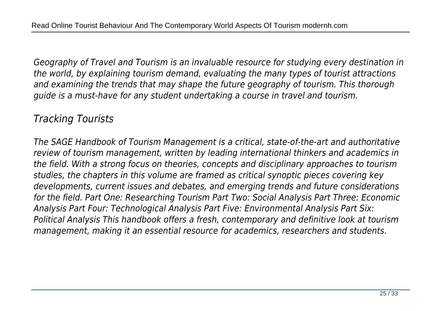*Geography of Travel and Tourism is an invaluable resource for studying every destination in the world, by explaining tourism demand, evaluating the many types of tourist attractions and examining the trends that may shape the future geography of tourism. This thorough guide is a must-have for any student undertaking a course in travel and tourism.*

# *Tracking Tourists*

*The SAGE Handbook of Tourism Management is a critical, state-of-the-art and authoritative review of tourism management, written by leading international thinkers and academics in the field. With a strong focus on theories, concepts and disciplinary approaches to tourism studies, the chapters in this volume are framed as critical synoptic pieces covering key developments, current issues and debates, and emerging trends and future considerations for the field. Part One: Researching Tourism Part Two: Social Analysis Part Three: Economic Analysis Part Four: Technological Analysis Part Five: Environmental Analysis Part Six: Political Analysis This handbook offers a fresh, contemporary and definitive look at tourism management, making it an essential resource for academics, researchers and students.*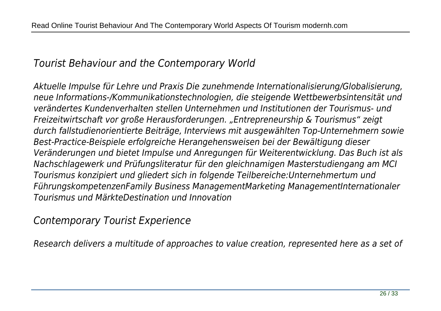### *Tourist Behaviour and the Contemporary World*

*Aktuelle Impulse für Lehre und Praxis Die zunehmende Internationalisierung/Globalisierung, neue Informations-/Kommunikationstechnologien, die steigende Wettbewerbsintensität und verändertes Kundenverhalten stellen Unternehmen und Institutionen der Tourismus- und Freizeitwirtschaft vor große Herausforderungen. "Entrepreneurship & Tourismus" zeigt durch fallstudienorientierte Beiträge, Interviews mit ausgewählten Top-Unternehmern sowie Best-Practice-Beispiele erfolgreiche Herangehensweisen bei der Bewältigung dieser Veränderungen und bietet Impulse und Anregungen für Weiterentwicklung. Das Buch ist als Nachschlagewerk und Prüfungsliteratur für den gleichnamigen Masterstudiengang am MCI Tourismus konzipiert und gliedert sich in folgende Teilbereiche:Unternehmertum und FührungskompetenzenFamily Business ManagementMarketing ManagementInternationaler Tourismus und MärkteDestination und Innovation*

*Contemporary Tourist Experience*

*Research delivers a multitude of approaches to value creation, represented here as a set of*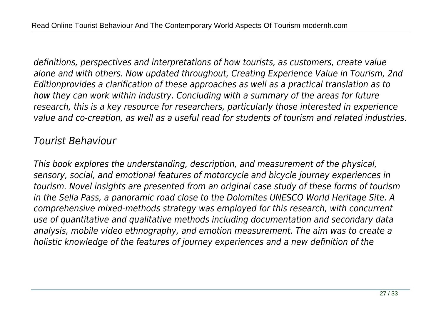*definitions, perspectives and interpretations of how tourists, as customers, create value alone and with others. Now updated throughout, Creating Experience Value in Tourism, 2nd Editionprovides a clarification of these approaches as well as a practical translation as to how they can work within industry. Concluding with a summary of the areas for future research, this is a key resource for researchers, particularly those interested in experience value and co-creation, as well as a useful read for students of tourism and related industries.*

### *Tourist Behaviour*

*This book explores the understanding, description, and measurement of the physical, sensory, social, and emotional features of motorcycle and bicycle journey experiences in tourism. Novel insights are presented from an original case study of these forms of tourism in the Sella Pass, a panoramic road close to the Dolomites UNESCO World Heritage Site. A comprehensive mixed-methods strategy was employed for this research, with concurrent use of quantitative and qualitative methods including documentation and secondary data analysis, mobile video ethnography, and emotion measurement. The aim was to create a holistic knowledge of the features of journey experiences and a new definition of the*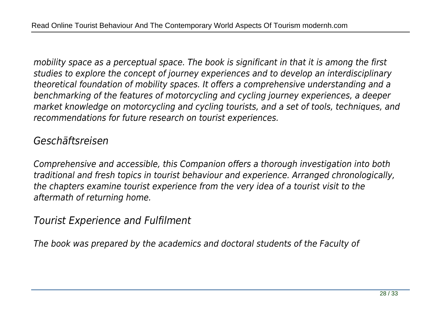*mobility space as a perceptual space. The book is significant in that it is among the first studies to explore the concept of journey experiences and to develop an interdisciplinary theoretical foundation of mobility spaces. It offers a comprehensive understanding and a benchmarking of the features of motorcycling and cycling journey experiences, a deeper market knowledge on motorcycling and cycling tourists, and a set of tools, techniques, and recommendations for future research on tourist experiences.*

# *Geschäftsreisen*

*Comprehensive and accessible, this Companion offers a thorough investigation into both traditional and fresh topics in tourist behaviour and experience. Arranged chronologically, the chapters examine tourist experience from the very idea of a tourist visit to the aftermath of returning home.*

*Tourist Experience and Fulfilment*

*The book was prepared by the academics and doctoral students of the Faculty of*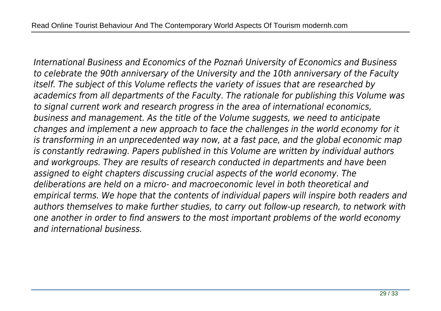*International Business and Economics of the Poznań University of Economics and Business to celebrate the 90th anniversary of the University and the 10th anniversary of the Faculty itself. The subject of this Volume reflects the variety of issues that are researched by academics from all departments of the Faculty. The rationale for publishing this Volume was to signal current work and research progress in the area of international economics, business and management. As the title of the Volume suggests, we need to anticipate changes and implement a new approach to face the challenges in the world economy for it is transforming in an unprecedented way now, at a fast pace, and the global economic map is constantly redrawing. Papers published in this Volume are written by individual authors and workgroups. They are results of research conducted in departments and have been assigned to eight chapters discussing crucial aspects of the world economy. The deliberations are held on a micro- and macroeconomic level in both theoretical and empirical terms. We hope that the contents of individual papers will inspire both readers and authors themselves to make further studies, to carry out follow-up research, to network with one another in order to find answers to the most important problems of the world economy and international business.*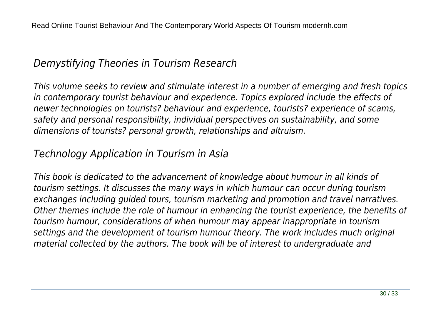### *Demystifying Theories in Tourism Research*

*This volume seeks to review and stimulate interest in a number of emerging and fresh topics in contemporary tourist behaviour and experience. Topics explored include the effects of newer technologies on tourists? behaviour and experience, tourists? experience of scams, safety and personal responsibility, individual perspectives on sustainability, and some dimensions of tourists? personal growth, relationships and altruism.*

### *Technology Application in Tourism in Asia*

*This book is dedicated to the advancement of knowledge about humour in all kinds of tourism settings. It discusses the many ways in which humour can occur during tourism exchanges including guided tours, tourism marketing and promotion and travel narratives. Other themes include the role of humour in enhancing the tourist experience, the benefits of tourism humour, considerations of when humour may appear inappropriate in tourism settings and the development of tourism humour theory. The work includes much original material collected by the authors. The book will be of interest to undergraduate and*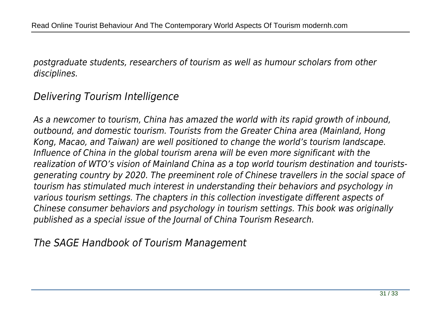*postgraduate students, researchers of tourism as well as humour scholars from other disciplines.*

# *Delivering Tourism Intelligence*

*As a newcomer to tourism, China has amazed the world with its rapid growth of inbound, outbound, and domestic tourism. Tourists from the Greater China area (Mainland, Hong Kong, Macao, and Taiwan) are well positioned to change the world's tourism landscape. Influence of China in the global tourism arena will be even more significant with the realization of WTO's vision of Mainland China as a top world tourism destination and touristsgenerating country by 2020. The preeminent role of Chinese travellers in the social space of tourism has stimulated much interest in understanding their behaviors and psychology in various tourism settings. The chapters in this collection investigate different aspects of Chinese consumer behaviors and psychology in tourism settings. This book was originally published as a special issue of the Journal of China Tourism Research.*

*The SAGE Handbook of Tourism Management*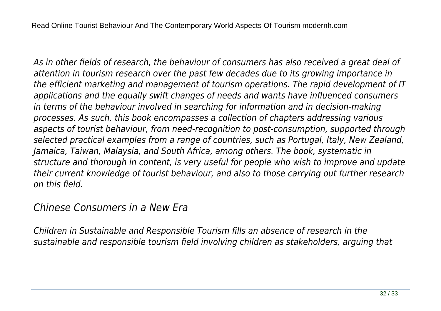*As in other fields of research, the behaviour of consumers has also received a great deal of attention in tourism research over the past few decades due to its growing importance in the efficient marketing and management of tourism operations. The rapid development of IT applications and the equally swift changes of needs and wants have influenced consumers in terms of the behaviour involved in searching for information and in decision-making processes. As such, this book encompasses a collection of chapters addressing various aspects of tourist behaviour, from need-recognition to post-consumption, supported through selected practical examples from a range of countries, such as Portugal, Italy, New Zealand, Jamaica, Taiwan, Malaysia, and South Africa, among others. The book, systematic in structure and thorough in content, is very useful for people who wish to improve and update their current knowledge of tourist behaviour, and also to those carrying out further research on this field.*

#### *Chinese Consumers in a New Era*

*Children in Sustainable and Responsible Tourism fills an absence of research in the sustainable and responsible tourism field involving children as stakeholders, arguing that*